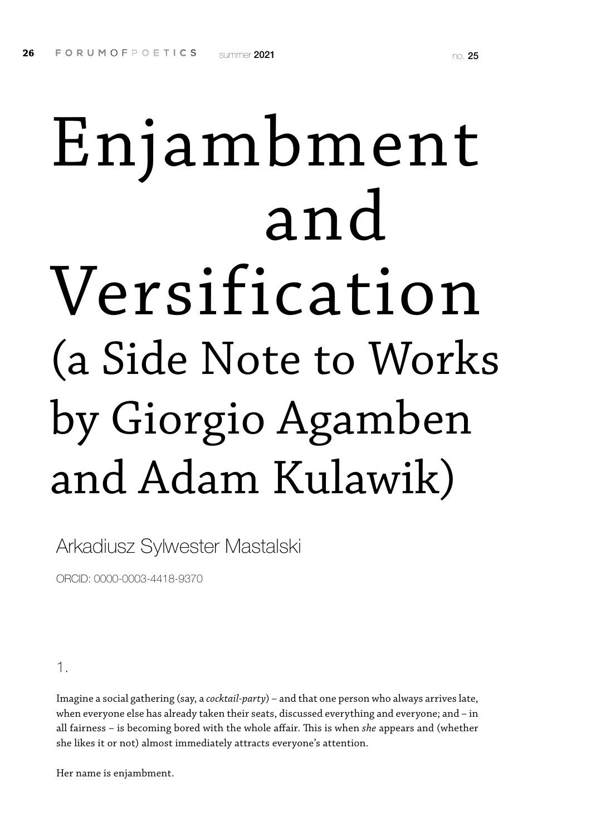# Enjambment and Versification (a Side Note to Works by Giorgio Agamben and Adam Kulawik)

Arkadiusz Sylwester Mastalski

ORCID: 0000-0003-4418-9370

#### 1.

Imagine a social gathering (say, a *cocktail-party*) – and that one person who always arrives late, when everyone else has already taken their seats, discussed everything and everyone; and – in all fairness – is becoming bored with the whole affair. This is when *she* appears and (whether she likes it or not) almost immediately attracts everyone's attention.

Her name is enjambment.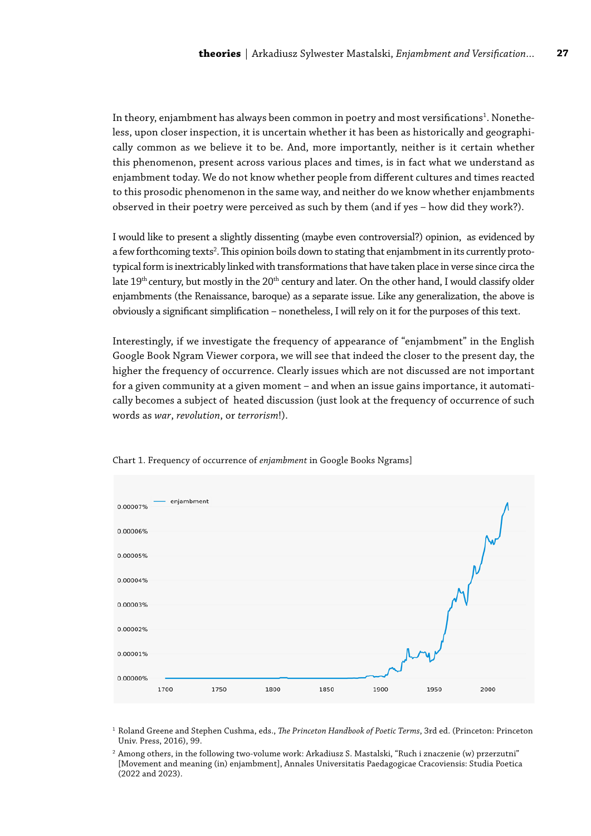In theory, enjambment has always been common in poetry and most versifications $^{\rm 1}$ . Nonetheless, upon closer inspection, it is uncertain whether it has been as historically and geographically common as we believe it to be. And, more importantly, neither is it certain whether this phenomenon, present across various places and times, is in fact what we understand as enjambment today. We do not know whether people from different cultures and times reacted to this prosodic phenomenon in the same way, and neither do we know whether enjambments observed in their poetry were perceived as such by them (and if yes – how did they work?).

I would like to present a slightly dissenting (maybe even controversial?) opinion, as evidenced by a few forthcoming texts<sup>2</sup>. This opinion boils down to stating that enjambment in its currently prototypical form is inextricably linked with transformations that have taken place in verse since circa the late  $19<sup>th</sup>$  century, but mostly in the  $20<sup>th</sup>$  century and later. On the other hand, I would classify older enjambments (the Renaissance, baroque) as a separate issue. Like any generalization, the above is obviously a significant simplification – nonetheless, I will rely on it for the purposes of this text.

Interestingly, if we investigate the frequency of appearance of "enjambment" in the English Google Book Ngram Viewer corpora, we will see that indeed the closer to the present day, the higher the frequency of occurrence. Clearly issues which are not discussed are not important for a given community at a given moment – and when an issue gains importance, it automatically becomes a subject of heated discussion (just look at the frequency of occurrence of such words as *war*, *revolution*, or *terrorism*!).



Chart 1. Frequency of occurrence of *enjambment* in Google Books Ngrams]

<sup>1</sup> Roland Greene and Stephen Cushma, eds., *The Princeton Handbook of Poetic Terms*, 3rd ed. (Princeton: Princeton Univ. Press, 2016), 99.

<sup>2</sup> Among others, in the following two-volume work: Arkadiusz S. Mastalski, "Ruch i znaczenie (w) przerzutni" [Movement and meaning (in) enjambment], Annales Universitatis Paedagogicae Cracoviensis: Studia Poetica (2022 and 2023).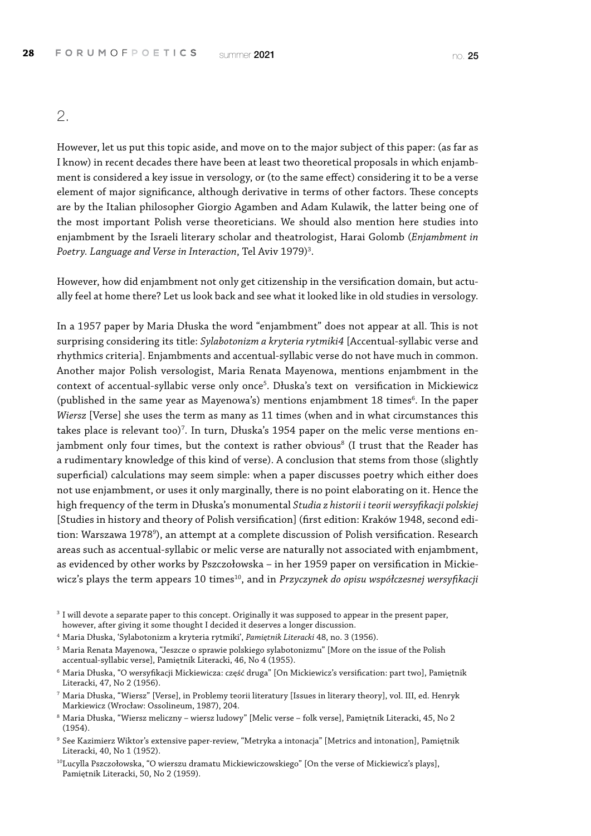2.

However, let us put this topic aside, and move on to the major subject of this paper: (as far as I know) in recent decades there have been at least two theoretical proposals in which enjambment is considered a key issue in versology, or (to the same effect) considering it to be a verse element of major significance, although derivative in terms of other factors. These concepts are by the Italian philosopher Giorgio Agamben and Adam Kulawik, the latter being one of the most important Polish verse theoreticians. We should also mention here studies into enjambment by the Israeli literary scholar and theatrologist, Harai Golomb (*Enjambment in Poetry. Language and Verse in Interaction*, Tel Aviv 1979)3 .

However, how did enjambment not only get citizenship in the versification domain, but actually feel at home there? Let us look back and see what it looked like in old studies in versology.

In a 1957 paper by Maria Dłuska the word "enjambment" does not appear at all. This is not surprising considering its title: *Sylabotonizm a kryteria rytmiki4* [Accentual-syllabic verse and rhythmics criteria]. Enjambments and accentual-syllabic verse do not have much in common. Another major Polish versologist, Maria Renata Mayenowa, mentions enjambment in the context of accentual-syllabic verse only once<sup>5</sup>. Dłuska's text on versification in Mickiewicz (published in the same year as Mayenowa's) mentions enjambment 18 times<sup>6</sup>. In the paper *Wiersz* [Verse] she uses the term as many as 11 times (when and in what circumstances this takes place is relevant too)<sup>7</sup>. In turn, Dłuska's 1954 paper on the melic verse mentions enjambment only four times, but the context is rather obvious $^8$  (I trust that the Reader has a rudimentary knowledge of this kind of verse). A conclusion that stems from those (slightly superficial) calculations may seem simple: when a paper discusses poetry which either does not use enjambment, or uses it only marginally, there is no point elaborating on it. Hence the high frequency of the term in Dłuska's monumental *Studia z historii i teorii wersyfikacji polskiej*  [Studies in history and theory of Polish versification] (first edition: Kraków 1948, second edition: Warszawa 1978<sup>9</sup>), an attempt at a complete discussion of Polish versification. Research areas such as accentual-syllabic or melic verse are naturally not associated with enjambment, as evidenced by other works by Pszczołowska – in her 1959 paper on versification in Mickiewicz's plays the term appears 10 times<sup>10</sup>, and in *Przyczynek do opisu współczesnej wersyfikacji* 

<sup>3</sup> I will devote a separate paper to this concept. Originally it was supposed to appear in the present paper, however, after giving it some thought I decided it deserves a longer discussion.

<sup>4</sup> Maria Dłuska, 'Sylabotonizm a kryteria rytmiki', *Pamiętnik Literacki* 48, no. 3 (1956).

 $^5$  Maria Renata Mayenowa, "Jeszcze o sprawie polskiego sylabotonizmu" [More on the issue of the Polish accentual-syllabic verse], Pamiętnik Literacki, 46, No 4 (1955).

 $^6$  Maria Dłuska, "O wersyfikacji Mickiewicza: część druga" [On Mickiewicz's versification: part two], Pamiętnik Literacki, 47, No 2 (1956).

<sup>7</sup> Maria Dłuska, "Wiersz" [Verse], in Problemy teorii literatury [Issues in literary theory], vol. III, ed. Henryk Markiewicz (Wrocław: Ossolineum, 1987), 204.

<sup>8</sup> Maria Dłuska, "Wiersz meliczny – wiersz ludowy" [Melic verse – folk verse], Pamiętnik Literacki, 45, No 2 (1954).

 $^9$  See Kazimierz Wiktor's extensive paper-review, "Metryka a intonacja" [Metrics and intonation], Pamiętnik Literacki, 40, No 1 (1952).

<sup>10</sup>Lucylla Pszczołowska, "O wierszu dramatu Mickiewiczowskiego" [On the verse of Mickiewicz's plays], Pamiętnik Literacki, 50, No 2 (1959).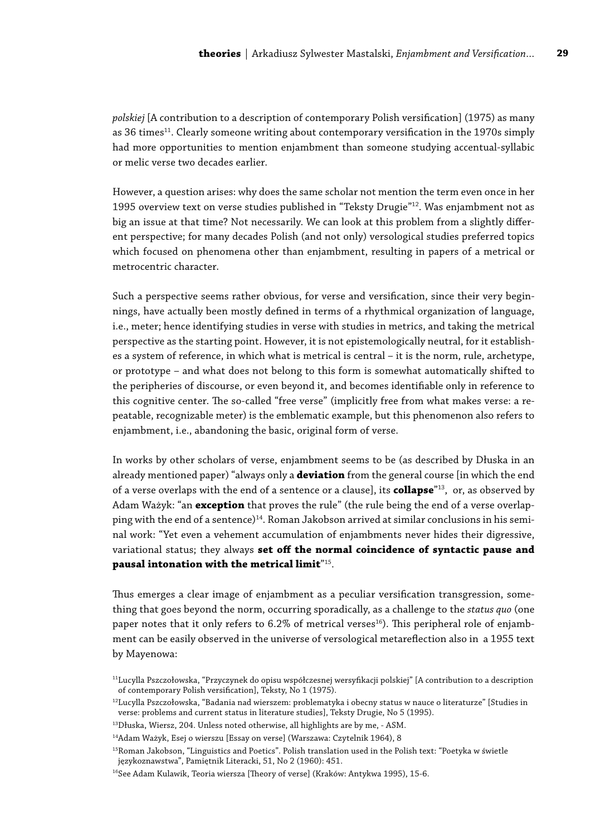*polskiej* [A contribution to a description of contemporary Polish versification] (1975) as many as 36 times<sup>11</sup>. Clearly someone writing about contemporary versification in the 1970s simply had more opportunities to mention enjambment than someone studying accentual-syllabic or melic verse two decades earlier.

However, a question arises: why does the same scholar not mention the term even once in her 1995 overview text on verse studies published in "Teksty Drugie"12. Was enjambment not as big an issue at that time? Not necessarily. We can look at this problem from a slightly different perspective; for many decades Polish (and not only) versological studies preferred topics which focused on phenomena other than enjambment, resulting in papers of a metrical or metrocentric character.

Such a perspective seems rather obvious, for verse and versification, since their very beginnings, have actually been mostly defined in terms of a rhythmical organization of language, i.e., meter; hence identifying studies in verse with studies in metrics, and taking the metrical perspective as the starting point. However, it is not epistemologically neutral, for it establishes a system of reference, in which what is metrical is central – it is the norm, rule, archetype, or prototype – and what does not belong to this form is somewhat automatically shifted to the peripheries of discourse, or even beyond it, and becomes identifiable only in reference to this cognitive center. The so-called "free verse" (implicitly free from what makes verse: a repeatable, recognizable meter) is the emblematic example, but this phenomenon also refers to enjambment, i.e., abandoning the basic, original form of verse.

In works by other scholars of verse, enjambment seems to be (as described by Dłuska in an already mentioned paper) "always only a **deviation** from the general course [in which the end of a verse overlaps with the end of a sentence or a clause], its **collapse**"13, or, as observed by Adam Ważyk: "an **exception** that proves the rule" (the rule being the end of a verse overlapping with the end of a sentence)<sup>14</sup>. Roman Jakobson arrived at similar conclusions in his seminal work: "Yet even a vehement accumulation of enjambments never hides their digressive, variational status; they always **set off the normal coincidence of syntactic pause and pausal intonation with the metrical limit**"15.

Thus emerges a clear image of enjambment as a peculiar versification transgression, something that goes beyond the norm, occurring sporadically, as a challenge to the *status quo* (one paper notes that it only refers to  $6.2\%$  of metrical verses<sup>16</sup>). This peripheral role of enjambment can be easily observed in the universe of versological metareflection also in a 1955 text by Mayenowa:

<sup>11</sup>Lucylla Pszczołowska, "Przyczynek do opisu współczesnej wersyfikacji polskiej" [A contribution to a description of contemporary Polish versification], Teksty, No 1 (1975).

<sup>12</sup>Lucylla Pszczołowska, "Badania nad wierszem: problematyka i obecny status w nauce o literaturze" [Studies in verse: problems and current status in literature studies], Teksty Drugie, No 5 (1995).

<sup>13</sup>Dłuska, Wiersz, 204. Unless noted otherwise, all highlights are by me, - ASM.

<sup>&</sup>lt;sup>14</sup>Adam Ważyk, Esej o wierszu [Essay on verse] (Warszawa: Czytelnik 1964), 8

<sup>&</sup>lt;sup>15</sup>Roman Jakobson, "Linguistics and Poetics". Polish translation used in the Polish text: "Poetyka w świetle językoznawstwa", Pamiętnik Literacki, 51, No 2 (1960): 451.

<sup>&</sup>lt;sup>16</sup>See Adam Kulawik, Teoria wiersza [Theory of verse] (Kraków: Antykwa 1995), 15-6.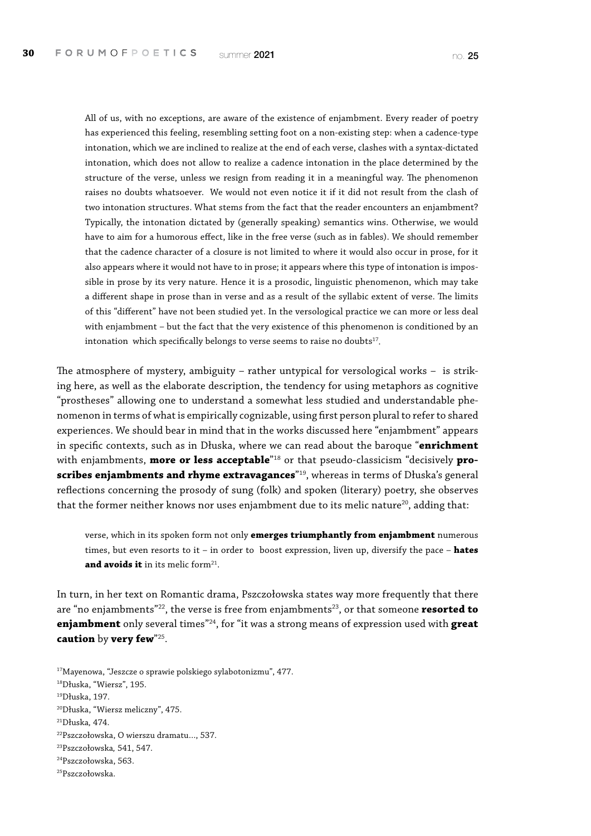All of us, with no exceptions, are aware of the existence of enjambment. Every reader of poetry has experienced this feeling, resembling setting foot on a non-existing step: when a cadence-type intonation, which we are inclined to realize at the end of each verse, clashes with a syntax-dictated intonation, which does not allow to realize a cadence intonation in the place determined by the structure of the verse, unless we resign from reading it in a meaningful way. The phenomenon raises no doubts whatsoever. We would not even notice it if it did not result from the clash of two intonation structures. What stems from the fact that the reader encounters an enjambment? Typically, the intonation dictated by (generally speaking) semantics wins. Otherwise, we would have to aim for a humorous effect, like in the free verse (such as in fables). We should remember that the cadence character of a closure is not limited to where it would also occur in prose, for it also appears where it would not have to in prose; it appears where this type of intonation is impossible in prose by its very nature. Hence it is a prosodic, linguistic phenomenon, which may take a different shape in prose than in verse and as a result of the syllabic extent of verse. The limits of this "different" have not been studied yet. In the versological practice we can more or less deal with enjambment – but the fact that the very existence of this phenomenon is conditioned by an intonation which specifically belongs to verse seems to raise no doubts<sup>17</sup>.

The atmosphere of mystery, ambiguity – rather untypical for versological works – is striking here, as well as the elaborate description, the tendency for using metaphors as cognitive "prostheses" allowing one to understand a somewhat less studied and understandable phenomenon in terms of what is empirically cognizable, using first person plural to refer to shared experiences. We should bear in mind that in the works discussed here "enjambment" appears in specific contexts, such as in Dłuska, where we can read about the baroque "**enrichment**  with enjambments, **more or less acceptable**"18 or that pseudo-classicism "decisively **proscribes enjambments and rhyme extravagances**"19, whereas in terms of Dłuska's general reflections concerning the prosody of sung (folk) and spoken (literary) poetry, she observes that the former neither knows nor uses enjambment due to its melic nature<sup>20</sup>, adding that:

verse, which in its spoken form not only **emerges triumphantly from enjambment** numerous times, but even resorts to it – in order to boost expression, liven up, diversify the pace – **hates**  and avoids it in its melic form<sup>21</sup>.

In turn, in her text on Romantic drama, Pszczołowska states way more frequently that there are "no enjambments"<sup>22</sup>, the verse is free from enjambments<sup>23</sup>, or that someone **resorted to enjambment** only several times"24, for "it was a strong means of expression used with **great caution** by **very few**"25.

17Mayenowa, "Jeszcze o sprawie polskiego sylabotonizmu", 477. 18Dłuska, "Wiersz", 195. 19Dłuska, 197. 20Dłuska, "Wiersz meliczny", 475. 21Dłuska*,* 474. 22Pszczołowska, O wierszu dramatu…, 537. 23Pszczołowska*,* 541, 547. 24Pszczołowska, 563. 25Pszczołowska.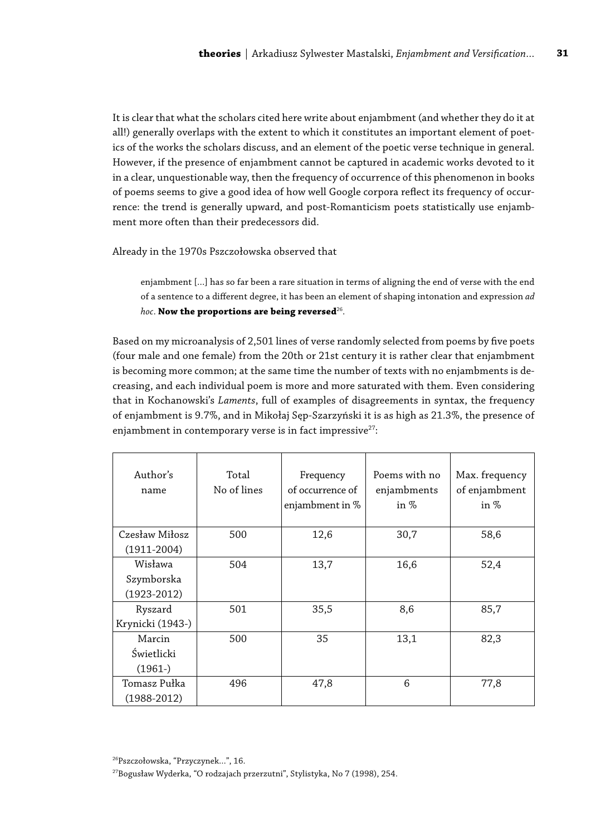It is clear that what the scholars cited here write about enjambment (and whether they do it at all!) generally overlaps with the extent to which it constitutes an important element of poetics of the works the scholars discuss, and an element of the poetic verse technique in general. However, if the presence of enjambment cannot be captured in academic works devoted to it in a clear, unquestionable way, then the frequency of occurrence of this phenomenon in books of poems seems to give a good idea of how well Google corpora reflect its frequency of occurrence: the trend is generally upward, and post-Romanticism poets statistically use enjambment more often than their predecessors did.

Already in the 1970s Pszczołowska observed that

enjambment [...] has so far been a rare situation in terms of aligning the end of verse with the end of a sentence to a different degree, it has been an element of shaping intonation and expression *ad hoc*. **Now the proportions are being reversed**26.

Based on my microanalysis of 2,501 lines of verse randomly selected from poems by five poets (four male and one female) from the 20th or 21st century it is rather clear that enjambment is becoming more common; at the same time the number of texts with no enjambments is decreasing, and each individual poem is more and more saturated with them. Even considering that in Kochanowski's *Laments*, full of examples of disagreements in syntax, the frequency of enjambment is 9.7%, and in Mikołaj Sęp-Szarzyński it is as high as 21.3%, the presence of enjambment in contemporary verse is in fact impressive $27$ :

| Author's<br>name                       | Total<br>No of lines | Frequency<br>of occurrence of<br>enjambment in % | Poems with no<br>enjambments<br>in $%$ | Max. frequency<br>of enjambment<br>in $%$ |
|----------------------------------------|----------------------|--------------------------------------------------|----------------------------------------|-------------------------------------------|
| Czesław Miłosz<br>$(1911 - 2004)$      | 500                  | 12,6                                             | 30,7                                   | 58,6                                      |
| Wisława<br>Szymborska<br>$(1923-2012)$ | 504                  | 13,7                                             | 16,6                                   | 52,4                                      |
| Ryszard<br>Krynicki (1943-)            | 501                  | 35,5                                             | 8,6                                    | 85,7                                      |
| Marcin<br>Świetlicki<br>$(1961-)$      | 500                  | 35                                               | 13,1                                   | 82,3                                      |
| Tomasz Pułka<br>$(1988-2012)$          | 496                  | 47,8                                             | 6                                      | 77,8                                      |

<sup>26</sup>Pszczołowska, "Przyczynek…", 16.

<sup>27</sup>Bogusław Wyderka, "O rodzajach przerzutni", Stylistyka, No 7 (1998), 254.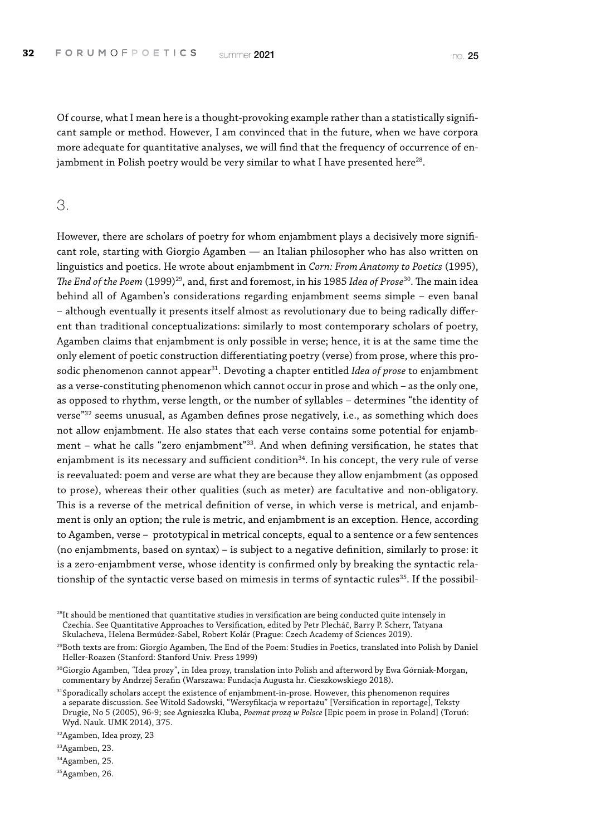Of course, what I mean here is a thought-provoking example rather than a statistically significant sample or method. However, I am convinced that in the future, when we have corpora more adequate for quantitative analyses, we will find that the frequency of occurrence of enjambment in Polish poetry would be very similar to what I have presented here $^{28}$ .

#### 3.

However, there are scholars of poetry for whom enjambment plays a decisively more significant role, starting with Giorgio Agamben — an Italian philosopher who has also written on linguistics and poetics. He wrote about enjambment in *Corn: From Anatomy to Poetics* (1995), *The End of the Poem* (1999)29, and, first and foremost, in his 1985 *Idea of Prose*30. The main idea behind all of Agamben's considerations regarding enjambment seems simple – even banal – although eventually it presents itself almost as revolutionary due to being radically different than traditional conceptualizations: similarly to most contemporary scholars of poetry, Agamben claims that enjambment is only possible in verse; hence, it is at the same time the only element of poetic construction differentiating poetry (verse) from prose, where this prosodic phenomenon cannot appear<sup>31</sup>. Devoting a chapter entitled *Idea of prose* to enjambment as a verse-constituting phenomenon which cannot occur in prose and which – as the only one, as opposed to rhythm, verse length, or the number of syllables – determines "the identity of verse"<sup>32</sup> seems unusual, as Agamben defines prose negatively, i.e., as something which does not allow enjambment. He also states that each verse contains some potential for enjambment – what he calls "zero enjambment"33. And when defining versification, he states that enjambment is its necessary and sufficient condition<sup>34</sup>. In his concept, the very rule of verse is reevaluated: poem and verse are what they are because they allow enjambment (as opposed to prose), whereas their other qualities (such as meter) are facultative and non-obligatory. This is a reverse of the metrical definition of verse, in which verse is metrical, and enjambment is only an option; the rule is metric, and enjambment is an exception. Hence, according to Agamben, verse – prototypical in metrical concepts, equal to a sentence or a few sentences (no enjambments, based on syntax) – is subject to a negative definition, similarly to prose: it is a zero-enjambment verse, whose identity is confirmed only by breaking the syntactic relationship of the syntactic verse based on mimesis in terms of syntactic rules<sup>35</sup>. If the possibil-

 $28$ It should be mentioned that quantitative studies in versification are being conducted quite intensely in Czechia. See Quantitative Approaches to Versification, edited by Petr Plecháč, Barry P. Scherr, Tatyana Skulacheva, Helena Bermúdez-Sabel, Robert Kolár (Prague: Czech Academy of Sciences 2019).

<sup>29</sup>Both texts are from: Giorgio Agamben, The End of the Poem: Studies in Poetics, translated into Polish by Daniel Heller-Roazen (Stanford: Stanford Univ. Press 1999)

 $^{30}$ Giorgio Agamben, "Idea prozy", in Idea prozy, translation into Polish and afterword by Ewa Górniak-Morgan, commentary by Andrzej Serafin (Warszawa: Fundacja Augusta hr. Cieszkowskiego 2018).

<sup>31</sup>Sporadically scholars accept the existence of enjambment-in-prose. However, this phenomenon requires a separate discussion. See Witold Sadowski, "Wersyfikacja w reportażu" [Versification in reportage], Teksty Drugie, No 5 (2005), 96-9; see Agnieszka Kluba, *Poemat prozą w Polsce* [Epic poem in prose in Poland] (Toruń: Wyd. Nauk. UMK 2014), 375.

32Agamben, Idea prozy, 23

33Agamben, 23.

<sup>34</sup>Agamben, 25.

<sup>35</sup>Agamben, 26.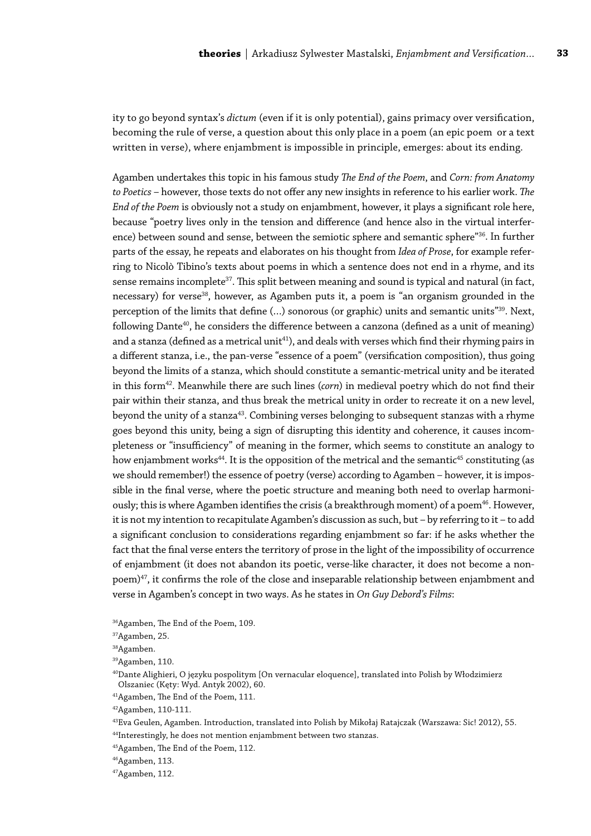ity to go beyond syntax's *dictum* (even if it is only potential), gains primacy over versification, becoming the rule of verse, a question about this only place in a poem (an epic poem or a text written in verse), where enjambment is impossible in principle, emerges: about its ending.

Agamben undertakes this topic in his famous study *The End of the Poem*, and *Corn: from Anatomy to Poetics* – however, those texts do not offer any new insights in reference to his earlier work. *The End of the Poem* is obviously not a study on enjambment, however, it plays a significant role here, because "poetry lives only in the tension and difference (and hence also in the virtual interference) between sound and sense, between the semiotic sphere and semantic sphere"<sup>36</sup>. In further parts of the essay, he repeats and elaborates on his thought from *Idea of Prose*, for example referring to Nicolò Tibino's texts about poems in which a sentence does not end in a rhyme, and its sense remains incomplete<sup>37</sup>. This split between meaning and sound is typical and natural (in fact, necessary) for verse<sup>38</sup>, however, as Agamben puts it, a poem is "an organism grounded in the perception of the limits that define (…) sonorous (or graphic) units and semantic units"39. Next, following Dante<sup>40</sup>, he considers the difference between a canzona (defined as a unit of meaning) and a stanza (defined as a metrical unit<sup>41</sup>), and deals with verses which find their rhyming pairs in a different stanza, i.e., the pan-verse "essence of a poem" (versification composition), thus going beyond the limits of a stanza, which should constitute a semantic-metrical unity and be iterated in this form<sup>42</sup>. Meanwhile there are such lines (*corn*) in medieval poetry which do not find their pair within their stanza, and thus break the metrical unity in order to recreate it on a new level, beyond the unity of a stanza<sup>43</sup>. Combining verses belonging to subsequent stanzas with a rhyme goes beyond this unity, being a sign of disrupting this identity and coherence, it causes incompleteness or "insufficiency" of meaning in the former, which seems to constitute an analogy to how enjambment works<sup>44</sup>. It is the opposition of the metrical and the semantic<sup>45</sup> constituting (as we should remember!) the essence of poetry (verse) according to Agamben – however, it is impossible in the final verse, where the poetic structure and meaning both need to overlap harmoniously; this is where Agamben identifies the crisis (a breakthrough moment) of a poem<sup>46</sup>. However, it is not my intention to recapitulate Agamben's discussion as such, but – by referring to it – to add a significant conclusion to considerations regarding enjambment so far: if he asks whether the fact that the final verse enters the territory of prose in the light of the impossibility of occurrence of enjambment (it does not abandon its poetic, verse-like character, it does not become a non $p$ oem) $47$ , it confirms the role of the close and inseparable relationship between enjambment and verse in Agamben's concept in two ways. As he states in *On Guy Debord's Films*:

<sup>36</sup>Agamben, The End of the Poem, 109.

<sup>37</sup>Agamben, 25.

<sup>38</sup>Agamben.

<sup>39</sup>Agamben, 110.

<sup>40</sup>Dante Alighieri, O języku pospolitym [On vernacular eloquence], translated into Polish by Włodzimierz Olszaniec (Kęty: Wyd. Antyk 2002), 60.

<sup>41</sup>Agamben, The End of the Poem, 111.

<sup>42</sup>Agamben, 110-111.

<sup>43</sup>Eva Geulen, Agamben. Introduction, translated into Polish by Mikołaj Ratajczak (Warszawa: Sic! 2012), 55.

<sup>&</sup>lt;sup>44</sup>Interestingly, he does not mention enjambment between two stanzas.

<sup>45</sup>Agamben, The End of the Poem, 112.

<sup>46</sup>Agamben, 113.

<sup>47</sup>Agamben, 112.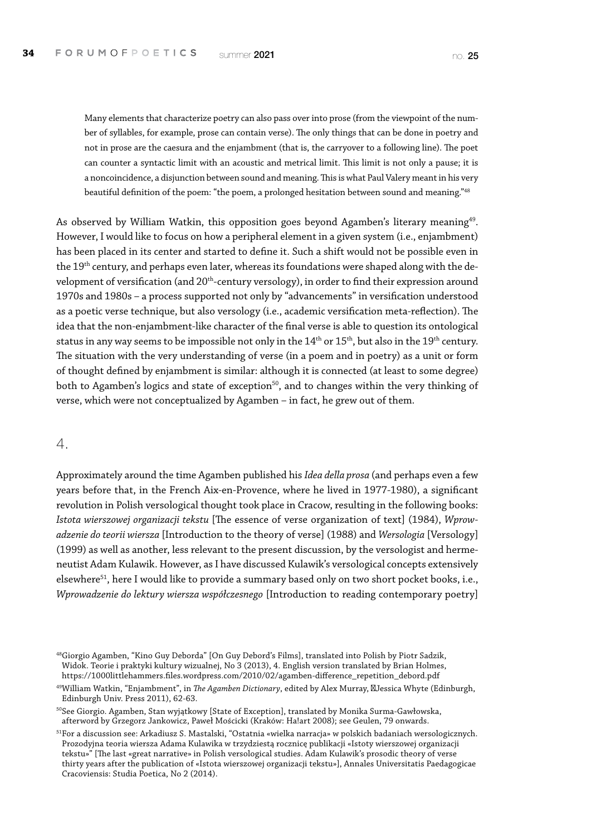Many elements that characterize poetry can also pass over into prose (from the viewpoint of the number of syllables, for example, prose can contain verse). The only things that can be done in poetry and not in prose are the caesura and the enjambment (that is, the carryover to a following line). The poet can counter a syntactic limit with an acoustic and metrical limit. This limit is not only a pause; it is a noncoincidence, a disjunction between sound and meaning. This is what Paul Valery meant in his very beautiful definition of the poem: "the poem, a prolonged hesitation between sound and meaning."48

As observed by William Watkin, this opposition goes beyond Agamben's literary meaning<sup>49</sup>. However, I would like to focus on how a peripheral element in a given system (i.e., enjambment) has been placed in its center and started to define it. Such a shift would not be possible even in the 19<sup>th</sup> century, and perhaps even later, whereas its foundations were shaped along with the development of versification (and 20<sup>th</sup>-century versology), in order to find their expression around 1970s and 1980s – a process supported not only by "advancements" in versification understood as a poetic verse technique, but also versology (i.e., academic versification meta-reflection). The idea that the non-enjambment-like character of the final verse is able to question its ontological status in any way seems to be impossible not only in the 14<sup>th</sup> or 15<sup>th</sup>, but also in the 19<sup>th</sup> century. The situation with the very understanding of verse (in a poem and in poetry) as a unit or form of thought defined by enjambment is similar: although it is connected (at least to some degree) both to Agamben's logics and state of exception<sup>50</sup>, and to changes within the very thinking of verse, which were not conceptualized by Agamben – in fact, he grew out of them.

#### 4.

Approximately around the time Agamben published his *Idea della prosa* (and perhaps even a few years before that, in the French Aix-en-Provence, where he lived in 1977-1980), a significant revolution in Polish versological thought took place in Cracow, resulting in the following books: *Istota wierszowej organizacji tekstu* [The essence of verse organization of text] (1984), *Wprowadzenie do teorii wiersza* [Introduction to the theory of verse] (1988) and *Wersologia* [Versology] (1999) as well as another, less relevant to the present discussion, by the versologist and hermeneutist Adam Kulawik. However, as I have discussed Kulawik's versological concepts extensively elsewhere<sup>51</sup>, here I would like to provide a summary based only on two short pocket books, i.e., *Wprowadzenie do lektury wiersza współczesnego* [Introduction to reading contemporary poetry]

<sup>48</sup>Giorgio Agamben, "Kino Guy Deborda" [On Guy Debord's Films], translated into Polish by Piotr Sadzik, Widok. Teorie i praktyki kultury wizualnej, No 3 (2013), 4. English version translated by Brian Holmes, https://1000littlehammers.files.wordpress.com/2010/02/agamben-difference\_repetition\_debord.pdf

<sup>49</sup>William Watkin, "Enjambment", in *The Agamben Dictionary*, edited by Alex Murray, Jessica Whyte (Edinburgh, Edinburgh Univ. Press 2011), 62-63.

<sup>&</sup>lt;sup>50</sup>See Giorgio. Agamben, Stan wyjątkowy [State of Exception], translated by Monika Surma-Gawłowska, afterword by Grzegorz Jankowicz, Paweł Mościcki (Kraków: Ha!art 2008); see Geulen, 79 onwards.

<sup>51</sup>For a discussion see: Arkadiusz S. Mastalski, "Ostatnia «wielka narracja» w polskich badaniach wersologicznych. Prozodyjna teoria wiersza Adama Kulawika w trzydziestą rocznicę publikacji «Istoty wierszowej organizacji tekstu»" [The last «great narrative» in Polish versological studies. Adam Kulawik's prosodic theory of verse thirty years after the publication of «Istota wierszowej organizacji tekstu»], Annales Universitatis Paedagogicae Cracoviensis: Studia Poetica, No 2 (2014).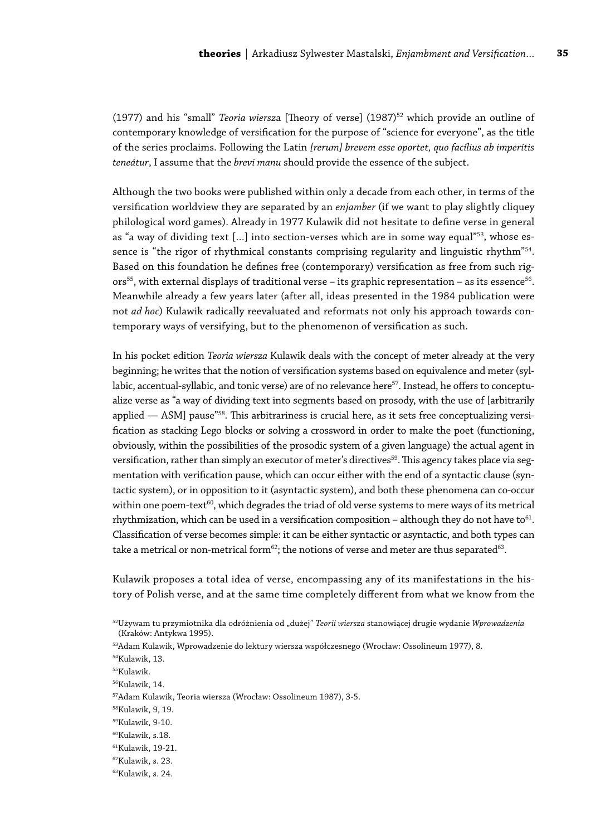(1977) and his "small" *Teoria wiersz*a [Theory of verse] (1987)52 which provide an outline of contemporary knowledge of versification for the purpose of "science for everyone", as the title of the series proclaims. Following the Latin *[rerum] brevem esse oportet, quo facílius ab imperítis teneátur*, I assume that the *brevi manu* should provide the essence of the subject.

Although the two books were published within only a decade from each other, in terms of the versification worldview they are separated by an *enjamber* (if we want to play slightly cliquey philological word games). Already in 1977 Kulawik did not hesitate to define verse in general as "a way of dividing text [...] into section-verses which are in some way equal" $53$ , whose essence is "the rigor of rhythmical constants comprising regularity and linguistic rhythm"<sup>54</sup>. Based on this foundation he defines free (contemporary) versification as free from such rigors<sup>55</sup>, with external displays of traditional verse - its graphic representation - as its essence<sup>56</sup>. Meanwhile already a few years later (after all, ideas presented in the 1984 publication were not *ad hoc*) Kulawik radically reevaluated and reformats not only his approach towards contemporary ways of versifying, but to the phenomenon of versification as such.

In his pocket edition *Teoria wiersza* Kulawik deals with the concept of meter already at the very beginning; he writes that the notion of versification systems based on equivalence and meter (syllabic, accentual-syllabic, and tonic verse) are of no relevance here<sup>57</sup>. Instead, he offers to conceptualize verse as "a way of dividing text into segments based on prosody, with the use of [arbitrarily applied  $-$  ASM] pause<sup>"58</sup>. This arbitrariness is crucial here, as it sets free conceptualizing versification as stacking Lego blocks or solving a crossword in order to make the poet (functioning, obviously, within the possibilities of the prosodic system of a given language) the actual agent in versification, rather than simply an executor of meter's directives<sup>59</sup>. This agency takes place via segmentation with verification pause, which can occur either with the end of a syntactic clause (syntactic system), or in opposition to it (asyntactic system), and both these phenomena can co-occur within one poem-text $60$ , which degrades the triad of old verse systems to mere ways of its metrical rhythmization, which can be used in a versification composition – although they do not have to $61$ . Classification of verse becomes simple: it can be either syntactic or asyntactic, and both types can take a metrical or non-metrical form<sup>62</sup>; the notions of verse and meter are thus separated<sup>63</sup>.

Kulawik proposes a total idea of verse, encompassing any of its manifestations in the history of Polish verse, and at the same time completely different from what we know from the

<sup>&</sup>lt;sup>52</sup>Używam tu przymiotnika dla odróżnienia od "dużej" *Teorii wiersza stanowiącej drugie wydanie Wprowadzenia* (Kraków: Antykwa 1995).

<sup>53</sup>Adam Kulawik, Wprowadzenie do lektury wiersza współczesnego (Wrocław: Ossolineum 1977), 8.

<sup>54</sup>Kulawik, 13.

<sup>55</sup>Kulawik.

<sup>56</sup>Kulawik, 14.

<sup>57</sup>Adam Kulawik, Teoria wiersza (Wrocław: Ossolineum 1987), 3-5.

<sup>58</sup>Kulawik, 9, 19.

<sup>59</sup>Kulawik, 9-10.

<sup>60</sup>Kulawik, s.18.

<sup>61</sup>Kulawik, 19-21.

<sup>62</sup>Kulawik, s. 23.

<sup>63</sup>Kulawik, s. 24.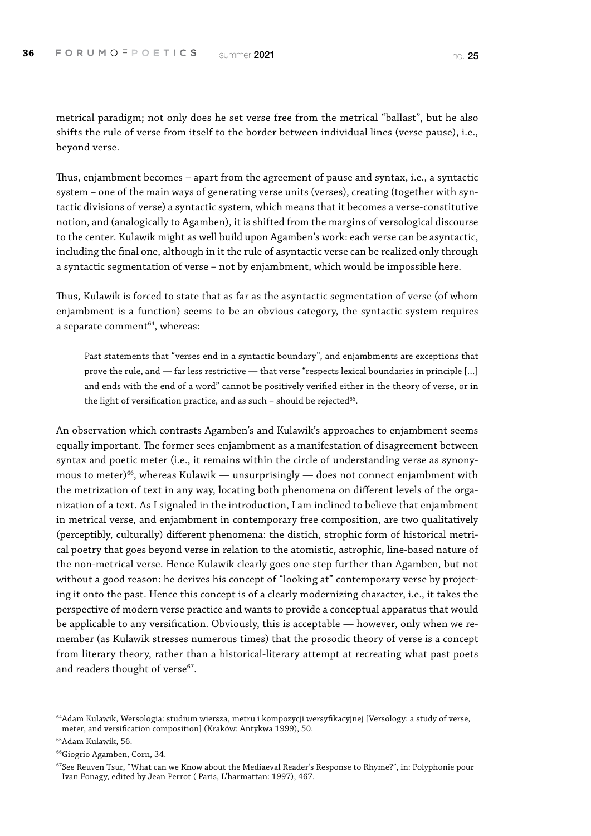metrical paradigm; not only does he set verse free from the metrical "ballast", but he also shifts the rule of verse from itself to the border between individual lines (verse pause), i.e., beyond verse.

Thus, enjambment becomes – apart from the agreement of pause and syntax, i.e., a syntactic system – one of the main ways of generating verse units (verses), creating (together with syntactic divisions of verse) a syntactic system, which means that it becomes a verse-constitutive notion, and (analogically to Agamben), it is shifted from the margins of versological discourse to the center. Kulawik might as well build upon Agamben's work: each verse can be asyntactic, including the final one, although in it the rule of asyntactic verse can be realized only through a syntactic segmentation of verse – not by enjambment, which would be impossible here.

Thus, Kulawik is forced to state that as far as the asyntactic segmentation of verse (of whom enjambment is a function) seems to be an obvious category, the syntactic system requires a separate comment $64$ , whereas:

Past statements that "verses end in a syntactic boundary", and enjambments are exceptions that prove the rule, and — far less restrictive — that verse "respects lexical boundaries in principle […] and ends with the end of a word" cannot be positively verified either in the theory of verse, or in the light of versification practice, and as such - should be rejected<sup>65</sup>.

An observation which contrasts Agamben's and Kulawik's approaches to enjambment seems equally important. The former sees enjambment as a manifestation of disagreement between syntax and poetic meter (i.e., it remains within the circle of understanding verse as synonymous to meter) $66$ , whereas Kulawik — unsurprisingly — does not connect enjambment with the metrization of text in any way, locating both phenomena on different levels of the organization of a text. As I signaled in the introduction, I am inclined to believe that enjambment in metrical verse, and enjambment in contemporary free composition, are two qualitatively (perceptibly, culturally) different phenomena: the distich, strophic form of historical metrical poetry that goes beyond verse in relation to the atomistic, astrophic, line-based nature of the non-metrical verse. Hence Kulawik clearly goes one step further than Agamben, but not without a good reason: he derives his concept of "looking at" contemporary verse by projecting it onto the past. Hence this concept is of a clearly modernizing character, i.e., it takes the perspective of modern verse practice and wants to provide a conceptual apparatus that would be applicable to any versification. Obviously, this is acceptable — however, only when we remember (as Kulawik stresses numerous times) that the prosodic theory of verse is a concept from literary theory, rather than a historical-literary attempt at recreating what past poets and readers thought of verse<sup>67</sup>.

<sup>64</sup>Adam Kulawik, Wersologia: studium wiersza, metru i kompozycji wersyfikacyjnej [Versology: a study of verse, meter, and versification composition] (Kraków: Antykwa 1999), 50.

<sup>65</sup>Adam Kulawik, 56.

<sup>66</sup>Giogrio Agamben, Corn, 34.

<sup>&</sup>lt;sup>67</sup>See Reuven Tsur, "What can we Know about the Mediaeval Reader's Response to Rhyme?", in: Polyphonie pour Ivan Fonagy, edited by Jean Perrot ( Paris, L'harmattan: 1997), 467.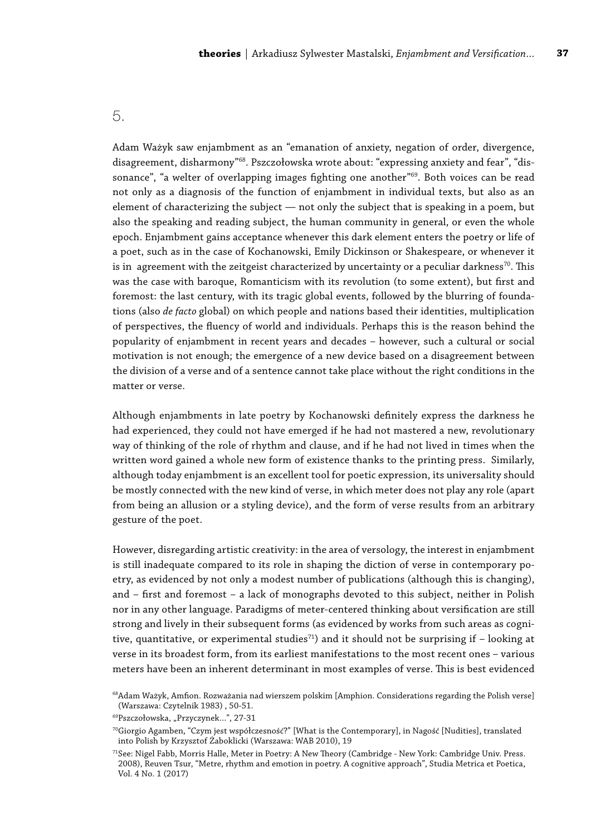#### 5.

Adam Ważyk saw enjambment as an "emanation of anxiety, negation of order, divergence, disagreement, disharmony"68. Pszczołowska wrote about: "expressing anxiety and fear", "dissonance", "a welter of overlapping images fighting one another"<sup>69</sup>. Both voices can be read not only as a diagnosis of the function of enjambment in individual texts, but also as an element of characterizing the subject — not only the subject that is speaking in a poem, but also the speaking and reading subject, the human community in general, or even the whole epoch. Enjambment gains acceptance whenever this dark element enters the poetry or life of a poet, such as in the case of Kochanowski, Emily Dickinson or Shakespeare, or whenever it is in agreement with the zeitgeist characterized by uncertainty or a peculiar darkness<sup>70</sup>. This was the case with baroque, Romanticism with its revolution (to some extent), but first and foremost: the last century, with its tragic global events, followed by the blurring of foundations (also *de facto* global) on which people and nations based their identities, multiplication of perspectives, the fluency of world and individuals. Perhaps this is the reason behind the popularity of enjambment in recent years and decades – however, such a cultural or social motivation is not enough; the emergence of a new device based on a disagreement between the division of a verse and of a sentence cannot take place without the right conditions in the matter or verse.

Although enjambments in late poetry by Kochanowski definitely express the darkness he had experienced, they could not have emerged if he had not mastered a new, revolutionary way of thinking of the role of rhythm and clause, and if he had not lived in times when the written word gained a whole new form of existence thanks to the printing press. Similarly, although today enjambment is an excellent tool for poetic expression, its universality should be mostly connected with the new kind of verse, in which meter does not play any role (apart from being an allusion or a styling device), and the form of verse results from an arbitrary gesture of the poet.

However, disregarding artistic creativity: in the area of versology, the interest in enjambment is still inadequate compared to its role in shaping the diction of verse in contemporary poetry, as evidenced by not only a modest number of publications (although this is changing), and – first and foremost – a lack of monographs devoted to this subject, neither in Polish nor in any other language. Paradigms of meter-centered thinking about versification are still strong and lively in their subsequent forms (as evidenced by works from such areas as cognitive, quantitative, or experimental studies<sup>71</sup>) and it should not be surprising if  $-$  looking at verse in its broadest form, from its earliest manifestations to the most recent ones – various meters have been an inherent determinant in most examples of verse. This is best evidenced

<sup>&</sup>lt;sup>68</sup>Adam Ważyk, Amfion. Rozważania nad wierszem polskim [Amphion. Considerations regarding the Polish verse] (Warszawa: Czytelnik 1983) , 50-51.

<sup>69</sup>Pszczołowska, "Przyczynek...", 27-31

<sup>70</sup>Giorgio Agamben, "Czym jest współczesność?" [What is the Contemporary], in Nagość [Nudities], translated into Polish by Krzysztof Żaboklicki (Warszawa: WAB 2010), 19

<sup>71</sup>See: Nigel Fabb, Morris Halle, Meter in Poetry: A New Theory (Cambridge - New York: Cambridge Univ. Press. 2008), Reuven Tsur, "Metre, rhythm and emotion in poetry. A cognitive approach", Studia Metrica et Poetica, Vol. 4 No. 1 (2017)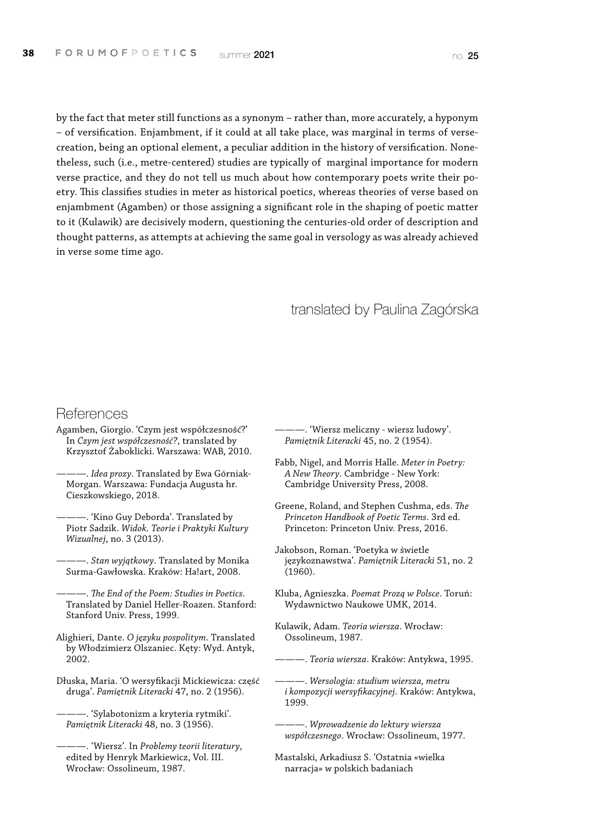by the fact that meter still functions as a synonym – rather than, more accurately, a hyponym – of versification. Enjambment, if it could at all take place, was marginal in terms of versecreation, being an optional element, a peculiar addition in the history of versification. Nonetheless, such (i.e., metre-centered) studies are typically of marginal importance for modern verse practice, and they do not tell us much about how contemporary poets write their poetry. This classifies studies in meter as historical poetics, whereas theories of verse based on enjambment (Agamben) or those assigning a significant role in the shaping of poetic matter to it (Kulawik) are decisively modern, questioning the centuries-old order of description and thought patterns, as attempts at achieving the same goal in versology as was already achieved in verse some time ago.

#### translated by Paulina Zagórska

#### **References**

- Agamben, Giorgio. 'Czym jest współczesność?' In *Czym jest współczesność?*, translated by Krzysztof Żaboklicki. Warszawa: WAB, 2010.
- ———. *Idea prozy*. Translated by Ewa Górniak-Morgan. Warszawa: Fundacja Augusta hr. Cieszkowskiego, 2018.
- ———. 'Kino Guy Deborda'. Translated by Piotr Sadzik. *Widok. Teorie i Praktyki Kultury Wizualnej*, no. 3 (2013).
- ———. *Stan wyjątkowy*. Translated by Monika Surma-Gawłowska. Kraków: Ha!art, 2008.
- ———. *The End of the Poem: Studies in Poetics*. Translated by Daniel Heller-Roazen. Stanford: Stanford Univ. Press, 1999.
- Alighieri, Dante. *O języku pospolitym*. Translated by Włodzimierz Olszaniec. Kęty: Wyd. Antyk, 2002.
- Dłuska, Maria. 'O wersyfikacji Mickiewicza: część druga'. *Pamiętnik Literacki* 47, no. 2 (1956).

———. 'Sylabotonizm a kryteria rytmiki'. *Pamiętnik Literacki* 48, no. 3 (1956).

- ———. 'Wiersz meliczny wiersz ludowy'. *Pamiętnik Literacki* 45, no. 2 (1954).
- Fabb, Nigel, and Morris Halle. *Meter in Poetry: A New Theory*. Cambridge - New York: Cambridge University Press, 2008.
- Greene, Roland, and Stephen Cushma, eds. *The Princeton Handbook of Poetic Terms*. 3rd ed. Princeton: Princeton Univ. Press, 2016.
- Jakobson, Roman. 'Poetyka w świetle językoznawstwa'. *Pamiętnik Literacki* 51, no. 2 (1960).
- Kluba, Agnieszka. *Poemat Prozą w Polsce*. Toruń: Wydawnictwo Naukowe UMK, 2014.
- Kulawik, Adam. *Teoria wiersza*. Wrocław: Ossolineum, 1987.
	- ———. *Teoria wiersza*. Kraków: Antykwa, 1995.
- ———. *Wersologia: studium wiersza, metru i kompozycji wersyfikacyjnej*. Kraków: Antykwa, 1999.
- ———. *Wprowadzenie do lektury wiersza współczesnego*. Wrocław: Ossolineum, 1977.
- Mastalski, Arkadiusz S. 'Ostatnia «wielka narracja» w polskich badaniach

<sup>———. &#</sup>x27;Wiersz'. In *Problemy teorii literatury*, edited by Henryk Markiewicz, Vol. III. Wrocław: Ossolineum, 1987.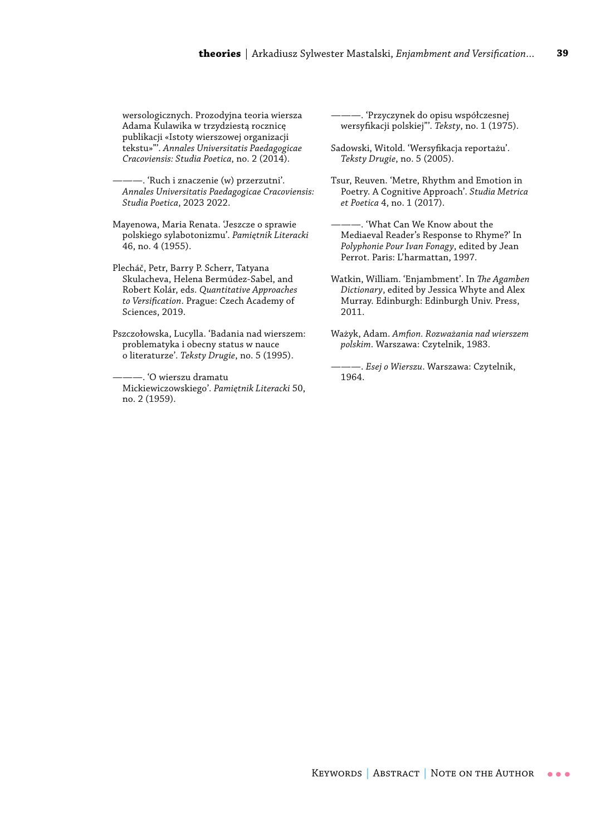wersologicznych. Prozodyjna teoria wiersza Adama Kulawika w trzydziestą rocznicę publikacji «Istoty wierszowej organizacji tekstu»"'. *Annales Universitatis Paedagogicae Cracoviensis: Studia Poetica*, no. 2 (2014).

———. 'Ruch i znaczenie (w) przerzutni'. *Annales Universitatis Paedagogicae Cracoviensis: Studia Poetica*, 2023 2022.

Mayenowa, Maria Renata. 'Jeszcze o sprawie polskiego sylabotonizmu'. *Pamiętnik Literacki* 46, no. 4 (1955).

Plecháč, Petr, Barry P. Scherr, Tatyana Skulacheva, Helena Bermúdez-Sabel, and Robert Kolár, eds. *Quantitative Approaches to Versification*. Prague: Czech Academy of Sciences, 2019.

Pszczołowska, Lucylla. 'Badania nad wierszem: problematyka i obecny status w nauce o literaturze'. *Teksty Drugie*, no. 5 (1995).

–. 'O wierszu dramatu Mickiewiczowskiego'. *Pamiętnik Literacki* 50, no. 2 (1959).

———. 'Przyczynek do opisu współczesnej wersyfikacji polskiej"'. *Teksty*, no. 1 (1975).

Sadowski, Witold. 'Wersyfikacja reportażu'. *Teksty Drugie*, no. 5 (2005).

Tsur, Reuven. 'Metre, Rhythm and Emotion in Poetry. A Cognitive Approach'. *Studia Metrica et Poetica* 4, no. 1 (2017).

———. 'What Can We Know about the Mediaeval Reader's Response to Rhyme?' In *Polyphonie Pour Ivan Fonagy*, edited by Jean Perrot. Paris: L'harmattan, 1997.

Watkin, William. 'Enjambment'. In *The Agamben Dictionary*, edited by Jessica Whyte and Alex Murray. Edinburgh: Edinburgh Univ. Press, 2011.

Ważyk, Adam. *Amfion. Rozważania nad wierszem polskim*. Warszawa: Czytelnik, 1983.

———. *Esej o Wierszu*. Warszawa: Czytelnik, 1964.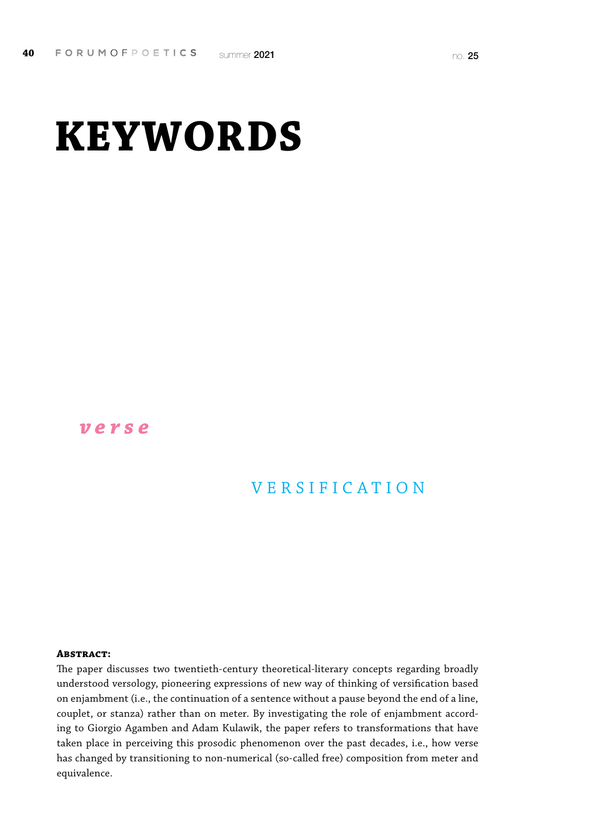# **KEYWORDS**

#### *verse*

### VERSIFICATION

#### **Abstract:**

The paper discusses two twentieth-century theoretical-literary concepts regarding broadly understood versology, pioneering expressions of new way of thinking of versification based on enjambment (i.e., the continuation of a sentence without a pause beyond the end of a line, couplet, or stanza) rather than on meter. By investigating the role of enjambment according to Giorgio Agamben and Adam Kulawik, the paper refers to transformations that have taken place in perceiving this prosodic phenomenon over the past decades, i.e., how verse has changed by transitioning to non-numerical (so-called free) composition from meter and equivalence.